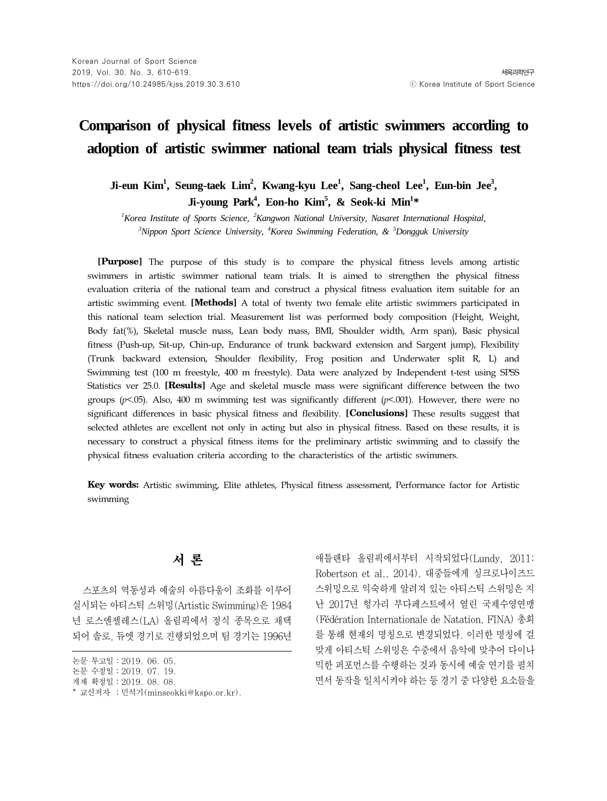# **Comparison of physical fitness levels of artistic swimmers according to adoption of artistic swimmer national team trials physical fitness test**

Ji-eun Kim<sup>1</sup>, Seung-taek Lim<sup>2</sup>, Kwang-kyu Lee<sup>1</sup>, Sang-cheol Lee<sup>1</sup>, Eun-bin Jee<sup>3</sup>, **Ji-young Park4 , Eon-ho Kim5 , & Seok-ki Min1 \***

<sup>1</sup> Korea Institute of Sports Science, <sup>2</sup> Kangwon National University, Nasaret International Hospital, *3 Nippon Sport Science University, <sup>4</sup> Korea Swimming Federation, & <sup>5</sup> Dongguk University*

**[Purpose]** The purpose of this study is to compare the physical fitness levels among artistic swimmers in artistic swimmer national team trials. It is aimed to strengthen the physical fitness evaluation criteria of the national team and construct a physical fitness evaluation item suitable for an artistic swimming event. **[Methods]** A total of twenty two female elite artistic swimmers participated in this national team selection trial. Measurement list was performed body composition (Height, Weight, Body fat(%), Skeletal muscle mass, Lean body mass, BMI, Shoulder width, Arm span), Basic physical fitness (Push-up, Sit-up, Chin-up, Endurance of trunk backward extension and Sargent jump), Flexibility (Trunk backward extension, Shoulder flexibility, Frog position and Underwater split R, L) and Swimming test (100 m freestyle, 400 m freestyle). Data were analyzed by Independent t-test using SPSS Statistics ver 25.0. **[Results]** Age and skeletal muscle mass were significant difference between the two groups ( $p$ <.05). Also, 400 m swimming test was significantly different ( $p$ <.001). However, there were no significant differences in basic physical fitness and flexibility. **[Conclusions]** These results suggest that selected athletes are excellent not only in acting but also in physical fitness. Based on these results, it is necessary to construct a physical fitness items for the preliminary artistic swimming and to classify the physical fitness evaluation criteria according to the characteristics of the artistic swimmers.

**Key words:** Artistic swimming, Elite athletes, Physical fitness assessment, Performance factor for Artistic swimming

# 서 론

스포츠의 역동성과 예술의 아름다움이 조화를 이루어 실시되는 아티스틱 스위밍(Artistic Swimming)은 1984 년 로스엔젤레스(LA) 올림픽에서 정식 종목으로 채택 되어 솔로, 듀엣 경기로 진행되었으며 팀 경기는 1996년

애틀랜타 올림픽에서부터 시작되었다(Lundy, 2011; Robertson et al., 2014). 대중들에게 싱크로나이즈드 스위밍으로 익숙하게 알려져 있는 아티스틱 스위밍은 지 난 2017년 헝가리 부다페스트에서 열린 국제수영연맹 (Fédération Internationale de Natation, FINA) 총회 를 통해 현재의 명칭으로 변경되었다. 이러한 명칭에 걸 맞게 아티스틱 스위밍은 수중에서 음악에 맞추어 다이나 믹한 퍼포먼스를 수행하는 것과 동시에 예술 연기를 펼치 면서 동작을 일치시켜야 하는 등 경기 중 다양한 요소들을

논문 투고일∶2019. 06. 05.

논문 수정일∶2019. 07. 19.

게재 확정일∶2019. 08. 08.

<sup>\*</sup> 교신저자 ∶민석기(minseokki@kspo.or.kr).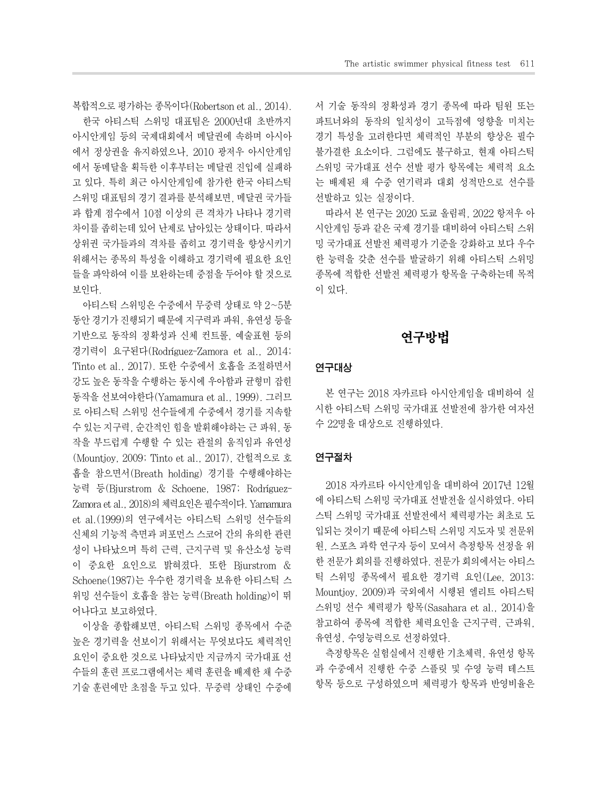복합적으로 평가하는 종목이다(Robertson et al., 2014).

한국 아티스틱 스위밍 대표팀은 2000년대 초반까지 아시안게임 등의 국제대회에서 메달권에 속하며 아시아 에서 정상권을 유지하였으나, 2010 광저우 아시안게임 에서 동메달을 획득한 이후부터는 메달권 진입에 실패하 고 있다. 특히 최근 아시안게임에 참가한 한국 아티스틱 스위밍 대표팀의 경기 결과를 분석해보면, 메달권 국가들 과 합계 점수에서 10점 이상의 큰 격차가 나타나 경기력 차이를 좁히는데 있어 난제로 남아있는 상태이다. 따라서 상위권 국가들과의 격차를 좁히고 경기력을 향상시키기 위해서는 종목의 특성을 이해하고 경기력에 필요한 요인 들을 파악하여 이를 보완하는데 중점을 두어야 할 것으로 보인다.

아티스틱 스위밍은 수중에서 무중력 상태로 약 2~5분 동안 경기가 진행되기 때문에 지구력과 파워, 유연성 등을 기반으로 동작의 정확성과 신체 컨트롤, 예술표현 등의 경기력이 요구된다(Rodríguez-Zamora et al., 2014; Tinto et al., 2017). 또한 수중에서 호흡을 조절하면서 강도 높은 동작을 수행하는 동시에 우아함과 균형미 잡힌 동작을 선보여야한다(Yamamura et al., 1999). 그러므 로 아티스틱 스위밍 선수들에게 수중에서 경기를 지속할 수 있는 지구력, 순간적인 힘을 발휘해야하는 근 파워, 동 작을 부드럽게 수행할 수 있는 관절의 움직임과 유연성 (Mountjoy, 2009; Tinto et al., 2017), 간헐적으로 호 흡을 참으면서(Breath holding) 경기를 수행해야하는 능력 등(Bjurstrom & Schoene, 1987; Rodríguez-Zamora et al., 2018)의 체력요인은 필수적이다. Yamamura et al.(1999)의 연구에서는 아티스틱 스위밍 선수들의 신체의 기능적 측면과 퍼포먼스 스코어 간의 유의한 관련 성이 나타났으며 특히 근력, 근지구력 및 유산소성 능력 이 중요한 요인으로 밝혀졌다. 또한 Bjurstrom & Schoene(1987)는 우수한 경기력을 보유한 아티스틱 스 위밍 선수들이 호흡을 참는 능력(Breath holding)이 뛰 어나다고 보고하였다.

이상을 종합해보면, 아티스틱 스위밍 종목에서 수준 높은 경기력을 선보이기 위해서는 무엇보다도 체력적인 요인이 중요한 것으로 나타났지만 지금까지 국가대표 선 수들의 훈련 프로그램에서는 체력 훈련을 배제한 채 수중 기술 훈련에만 초점을 두고 있다. 무중력 상태인 수중에 서 기술 동작의 정확성과 경기 종목에 따라 팀원 또는 파트너와의 동작의 일치성이 고득점에 영향을 미치는 경기 특성을 고려한다면 체력적인 부분의 향상은 필수 불가결한 요소이다. 그럼에도 불구하고, 현재 아티스틱 스위밍 국가대표 선수 선발 평가 항목에는 체력적 요소 는 배제된 채 수중 연기력과 대회 성적만으로 선수를 선발하고 있는 실정이다.

따라서 본 연구는 2020 도쿄 올림픽, 2022 항저우 아 시안게임 등과 같은 국제 경기를 대비하여 아티스틱 스위 밍 국가대표 선발전 체력평가 기준을 강화하고 보다 우수 한 능력을 갖춘 선수를 발굴하기 위해 아티스틱 스위밍 종목에 적합한 선발전 체력평가 항목을 구축하는데 목적 이 있다.

### 연구방법

#### 연구대상

본 연구는 2018 자카르타 아시안게임을 대비하여 실 시한 아티스틱 스위밍 국가대표 선발전에 참가한 여자선 수 22명을 대상으로 진행하였다.

#### 연구절차

2018 자카르타 아시안게임을 대비하여 2017년 12월 에 아티스틱 스위밍 국가대표 선발전을 실시하였다. 아티 스틱 스위밍 국가대표 선발전에서 체력평가는 최초로 도 입되는 것이기 때문에 아티스틱 스위밍 지도자 및 전문위 원, 스포츠 과학 연구자 등이 모여서 측정항목 선정을 위 한 전문가 회의를 진행하였다. 전문가 회의에서는 아티스 틱 스위밍 종목에서 필요한 경기력 요인(Lee, 2013; Mountjoy, 2009)과 국외에서 시행된 엘리트 아티스틱 스위밍 선수 체력평가 항목(Sasahara et al., 2014)을 참고하여 종목에 적합한 체력요인을 근지구력, 근파워, 유연성, 수영능력으로 선정하였다.

측정항목은 실험실에서 진행한 기초체력, 유연성 항목 과 수중에서 진행한 수중 스플릿 및 수영 능력 테스트 항목 등으로 구성하였으며 체력평가 항목과 반영비율은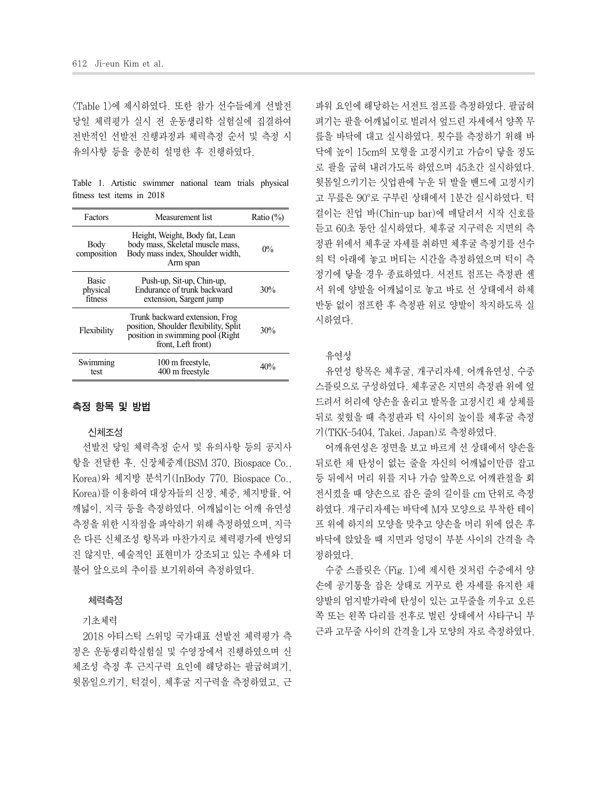<Table 1>에 제시하였다. 또한 참가 선수들에게 선발전 당일 체력평가 실시 전 운동생리학 실험실에 집결하여 전반적인 선발전 진행과정과 체력측정 순서 및 측정 시 유의사항 등을 충분히 설명한 후 진행하였다.

Table 1. Artistic swimmer national team trials physical fitness test items in 2018

| Factors                             | Measurement list                                                                                                                  | Ratio $(\%)$ |
|-------------------------------------|-----------------------------------------------------------------------------------------------------------------------------------|--------------|
| Body<br>composition                 | Height, Weight, Body fat, Lean<br>body mass, Skeletal muscle mass,<br>Body mass index, Shoulder width,<br>Arm span                | $0\%$        |
| <b>Basic</b><br>physical<br>fitness | Push-up, Sit-up, Chin-up,<br>Endurance of trunk backward<br>extension, Sargent jump                                               | 30%          |
| Flexibility                         | Trunk backward extension, Frog<br>position, Shoulder flexibility, Split<br>position in swimming pool (Right<br>front, Left front) | 30%          |
| Swimming<br>test                    | 100 m freestyle.<br>400 m freestyle                                                                                               | 40%          |

#### 측정 항목 및 방법

#### 신체조성

선발전 당일 체력측정 순서 및 유의사항 등의 공지사 항을 전달한 후, 신장체중계(BSM 370, Biospace Co., Korea)와 체지방 분석기(InBody 770, Biospace Co., Korea)를 이용하여 대상자들의 신장, 체중, 체지방률, 어 깨넓이, 지극 등을 측정하였다. 어깨넓이는 어깨 유연성 측정을 위한 시작점을 파악하기 위해 측정하였으며, 지극 은 다른 신체조성 항목과 마찬가지로 체력평가에 반영되 진 않지만, 예술적인 표현미가 강조되고 있는 추세와 더 불어 앞으로의 추이를 보기위하여 측정하였다.

#### 체력측정

#### 기초체력

2018 아티스틱 스위밍 국가대표 선발전 체력평가 측 정은 운동생리학실험실 및 수영장에서 진행하였으며 신 체조성 측정 후 근지구력 요인에 해당하는 팔굽혀펴기, 윗몸일으키기, 턱걸이, 체후굴 지구력을 측정하였고, 근

파워 요인에 해당하는 서전트 점프를 측정하였다. 팔굽혀 펴기는 팔을 어깨넓이로 벌려서 엎드린 자세에서 양쪽 무 릎을 바닥에 대고 실시하였다. 횟수를 측정하기 위해 바 닥에 높이 15cm의 모형을 고정시키고 가슴이 닿을 정도 로 팔을 굽혀 내려가도록 하였으며 45초간 실시하였다. 윗몸일으키기는 싯업판에 누운 뒤 발을 밴드에 고정시키 고 무릎은 90°로 구부린 상태에서 1분간 실시하였다. 턱 걸이는 친업 바(Chin-up bar)에 매달려서 시작 신호를 듣고 60초 동안 실시하였다. 체후굴 지구력은 지면의 측 정판 위에서 체후굴 자세를 취하면 체후굴 측정기를 선수 의 턱 아래에 놓고 버티는 시간을 측정하였으며 턱이 측 정기에 닿을 경우 종료하였다. 서전트 점프는 측정판 센 서 위에 양발을 어깨넓이로 놓고 바로 선 상태에서 하체 반동 없이 점프한 후 측정판 위로 양발이 착지하도록 실 시하였다.

#### 유연성

유연성 항목은 체후굴, 개구리자세, 어깨유연성, 수중 스플릿으로 구성하였다. 체후굴은 지면의 측정판 위에 엎 드려서 허리에 양손을 올리고 발목을 고정시킨 채 상체를 뒤로 젖혔을 때 측정판과 턱 사이의 높이를 체후굴 측정 기(TKK-5404, Takei, Japan)로 측정하였다.

어깨유연성은 정면을 보고 바르게 선 상태에서 양손을 뒤로한 채 탄성이 없는 줄을 자신의 어깨넓이만큼 잡고 등 뒤에서 머리 위를 지나 가슴 앞쪽으로 어깨관절을 회 전시켰을 때 양손으로 잡은 줄의 길이를 cm 단위로 측정 하였다. 개구리자세는 바닥에 M자 모양으로 부착한 테이 프 위에 하지의 모양을 맞추고 양손을 머리 위에 얹은 후 바닥에 앉았을 때 지면과 엉덩이 부분 사이의 간격을 측 정하였다.

수중 스플릿은 <Fig. 1>에 제시한 것처럼 수중에서 양 손에 공기통을 잡은 상태로 거꾸로 한 자세를 유지한 채 양발의 엄지발가락에 탄성이 있는 고무줄을 끼우고 오른 쪽 또는 왼쪽 다리를 전후로 벌린 상태에서 사타구니 부 근과 고무줄 사이의 간격을 L자 모양의 자로 측정하였다.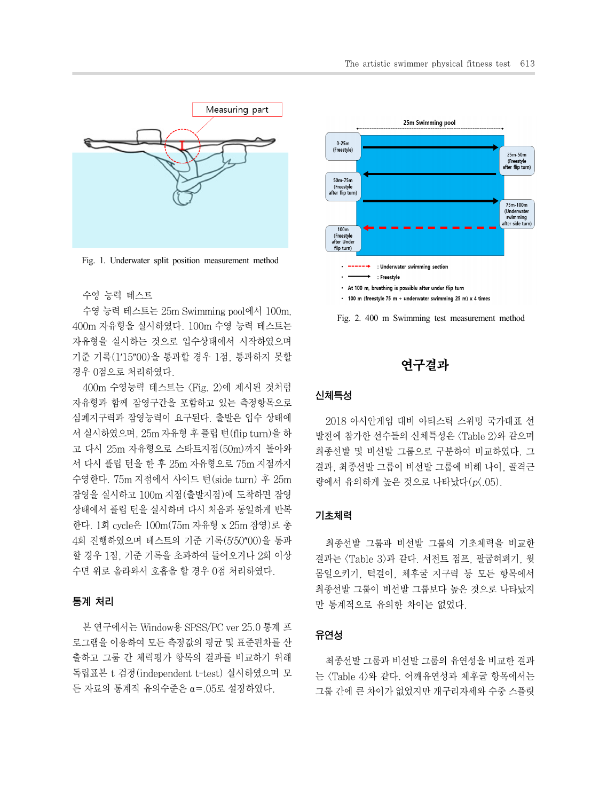

Fig. 1. Underwater split position measurement method

#### 수영 능력 테스트

수영 능력 테스트는 25m Swimming pool에서 100m, 400m 자유형을 실시하였다. 100m 수영 능력 테스트는 자유형을 실시하는 것으로 입수상태에서 시작하였으며 기준 기록(1′15″00)을 통과할 경우 1점, 통과하지 못할 경우 0점으로 처리하였다.

400m 수영능력 테스트는 <Fig. 2>에 제시된 것처럼 자유형과 함께 잠영구간을 포함하고 있는 측정항목으로 심폐지구력과 잠영능력이 요구된다. 출발은 입수 상태에 서 실시하였으며, 25m 자유형 후 플립 턴(flip turn)을 하 고 다시 25m 자유형으로 스타트지점(50m)까지 돌아와 서 다시 플립 턴을 한 후 25m 자유형으로 75m 지점까지 수영한다. 75m 지점에서 사이드 턴(side turn) 후 25m 잠영을 실시하고 100m 지점(출발지점)에 도착하면 잠영 상태에서 플립 턴을 실시하며 다시 처음과 동일하게 반복 한다. 1회 cycle은 100m(75m 자유형 x 25m 잠영)로 총 4회 진행하였으며 테스트의 기준 기록(5′50″00)을 통과 할 경우 1점, 기준 기록을 초과하여 들어오거나 2회 이상 수면 위로 올라와서 호흡을 할 경우 0점 처리하였다.

#### 통계 처리

본 연구에서는 Window용 SPSS/PC ver 25.0 통계 프 로그램을 이용하여 모든 측정값의 평균 및 표준편차를 산 출하고 그룹 간 체력평가 항목의 결과를 비교하기 위해 독립표본 t 검정(independent t-test) 실시하였으며 모 든 자료의 통계적 유의수준은 α=.05로 설정하였다.



Fig. 2. 400 m Swimming test measurement method



#### 신체특성

2018 아시안게임 대비 아티스틱 스위밍 국가대표 선 발전에 참가한 선수들의 신체특성은 <Table 2>와 같으며 최종선발 및 비선발 그룹으로 구분하여 비교하였다. 그 결과, 최종선발 그룹이 비선발 그룹에 비해 나이, 골격근 량에서 유의하게 높은 것으로 나타났다(p<.05).

#### 기초체력

최종선발 그룹과 비선발 그룹의 기초체력을 비교한 결과는 <Table 3>과 같다. 서전트 점프, 팔굽혀펴기, 윗 몸일으키기, 턱걸이, 체후굴 지구력 등 모든 항목에서 최종선발 그룹이 비선발 그룹보다 높은 것으로 나타났지 만 통계적으로 유의한 차이는 없었다.

#### 유연성

최종선발 그룹과 비선발 그룹의 유연성을 비교한 결과 는 <Table 4>와 같다. 어깨유연성과 체후굴 항목에서는 그룹 간에 큰 차이가 없었지만 개구리자세와 수중 스플릿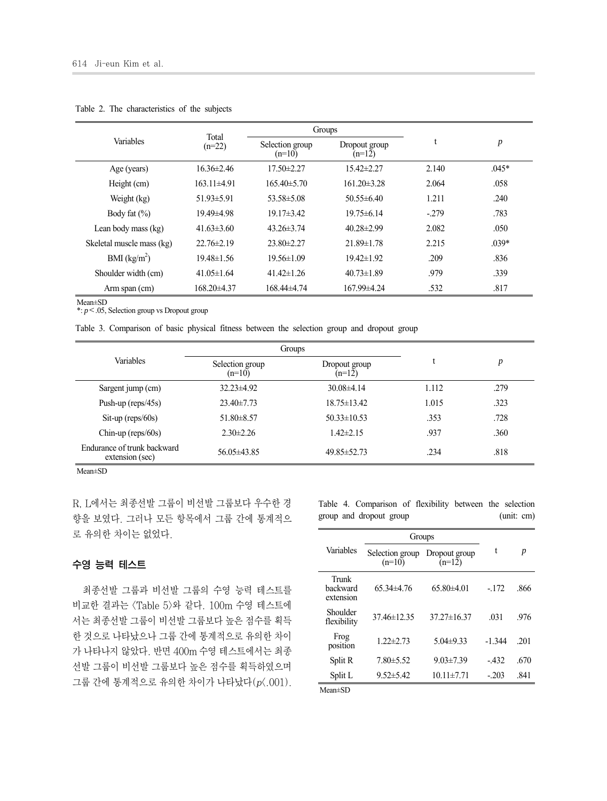| Variables                 | Total            |                             | Groups                    |        |                  |
|---------------------------|------------------|-----------------------------|---------------------------|--------|------------------|
|                           | $(n=22)$         | Selection group<br>$(n=10)$ | Dropout group<br>$(n=12)$ |        | $\boldsymbol{p}$ |
| Age (years)               | $16.36 \pm 2.46$ | $17.50 \pm 2.27$            | 15.42±2.27                | 2.140  | $.045*$          |
| Height (cm)               | $163.11\pm4.91$  | $165\,40\pm5\,70$           | $16120\pm328$             | 2.064  | .058             |
| Weight (kg)               | $51.93 \pm 5.91$ | $53.58 \pm 5.08$            | $50.55\pm 6.40$           | 1.211  | .240             |
| Body fat $(\% )$          | 19.49±4.98       | $19.17\pm3.42$              | $19.75 \pm 6.14$          | $-279$ | .783             |
| Lean body mass (kg)       | $41.63\pm3.60$   | $43.26 \pm 3.74$            | $40.28 \pm 2.99$          | 2.082  | .050             |
| Skeletal muscle mass (kg) | $22.76 \pm 2.19$ | $23.80 \pm 2.27$            | $21.89 \pm 1.78$          | 2.215  | $.039*$          |
| BMI (kg/m <sup>2</sup> )  | $19.48 \pm 1.56$ | $19.56 \pm 1.09$            | $19.42 \pm 1.92$          | .209   | .836             |
| Shoulder width (cm)       | $41.05 \pm 1.64$ | $41.42 \pm 1.26$            | $40.73 \pm 1.89$          | .979   | .339             |
| Arm span (cm)             | 168.20±4.37      | 168.44±4.74                 | 167.99±4.24               | .532   | .817             |

Table 2. The characteristics of the subjects

Mean±SD

\*: *p*<.05, Selection group vs Dropout group

Table 3. Comparison of basic physical fitness between the selection group and dropout group

|                                                | Groups                                                   |                   |       |      |  |
|------------------------------------------------|----------------------------------------------------------|-------------------|-------|------|--|
| <b>Variables</b>                               | Selection group<br>Dropout group<br>$(n=12)$<br>$(n=10)$ |                   |       | р    |  |
| Sargent jump (cm)                              | $32.23 \pm 4.92$                                         | $30.08\pm4.14$    | 1.112 | .279 |  |
| Push-up ( $reps/45s$ )                         | $23.40 \pm 7.73$                                         | $18.75 \pm 13.42$ | 1.015 | .323 |  |
| $\text{Sit-up}$ (reps/60s)                     | $51.80 \pm 8.57$                                         | $50.33 \pm 10.53$ | .353  | .728 |  |
| Chin-up ( $reps/60s$ )                         | $2.30 \pm 2.26$                                          | $1.42 \pm 2.15$   | .937  | .360 |  |
| Endurance of trunk backward<br>extension (sec) | 56.05±43.85                                              | $49.85 \pm 52.73$ | .234  | .818 |  |

Mean±SD

R, L에서는 최종선발 그룹이 비선발 그룹보다 우수한 경 향을 보였다. 그러나 모든 항목에서 그룹 간에 통계적으 로 유의한 차이는 없었다.

#### 수영 능력 테스트

최종선발 그룹과 비선발 그룹의 수영 능력 테스트를 비교한 결과는 <Table 5>와 같다. 100m 수영 테스트에 서는 최종선발 그룹이 비선발 그룹보다 높은 점수를 획득 한 것으로 나타났으나 그룹 간에 통계적으로 유의한 차이 가 나타나지 않았다. 반면 400m 수영 테스트에서는 최종 선발 그룹이 비선발 그룹보다 높은 점수를 획득하였으며 그룹 간에 통계적으로 유의한 차이가 나타났다(p<.001). Table 4. Comparison of flexibility between the selection group and dropout group (unit: cm)

|                                | Groups                                                   |                   |          |      |
|--------------------------------|----------------------------------------------------------|-------------------|----------|------|
| Variables                      | Selection group<br>Dropout group<br>$(n=10)$<br>$(n=12)$ |                   | t        | p    |
| Trunk<br>backward<br>extension | $65.34\pm4.76$                                           | $65.80\pm4.01$    | - 172    | .866 |
| Shoulder<br>flexibility        | 37.46±12.35                                              | $37.27 \pm 16.37$ | -031     | 976  |
| Frog<br>position               | $1.22 \pm 2.73$                                          | $5.04\pm9.33$     | $-1.344$ | 201  |
| Split R                        | $7.80 \pm 5.52$                                          | $9.03 \pm 7.39$   | - 432    | .670 |
| Split L                        | $9.52 \pm 5.42$                                          | $10.11 \pm 7.71$  | $-203$   | .841 |

Mean±SD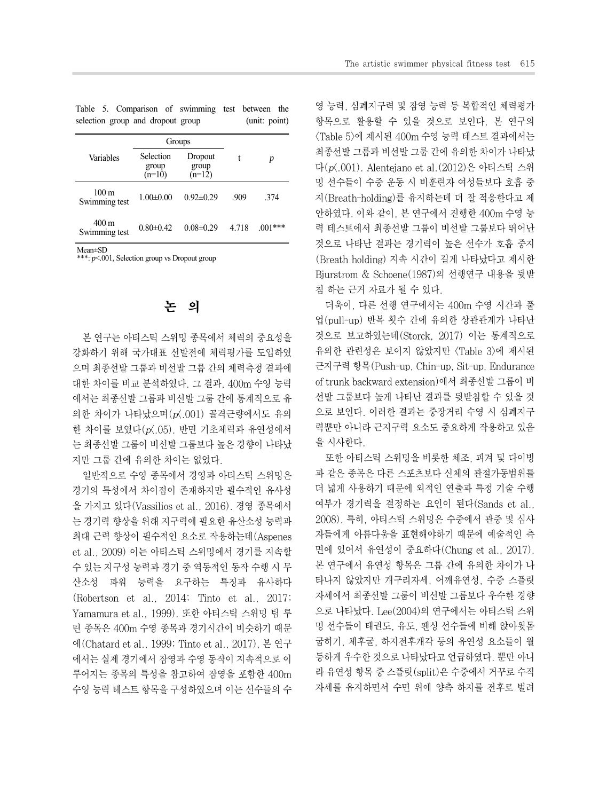|                                   |  |  | Table 5. Comparison of swimming test between the |               |  |
|-----------------------------------|--|--|--------------------------------------------------|---------------|--|
| selection group and dropout group |  |  |                                                  | (unit: point) |  |

|                        |                                | Groups                       |         |           |  |
|------------------------|--------------------------------|------------------------------|---------|-----------|--|
| Variables              | Selection<br>group<br>$(n=10)$ | Dropout<br>group<br>$(n=12)$ | t       | D         |  |
| 100 m<br>Swimming test | $1.00 \pm 0.00$                | $0.92 \pm 0.29$              | .909    | 374       |  |
| 400 m<br>Swimming test | $0.80 \pm 0.42$                | $0.08 \pm 0.29$              | 4 7 1 8 | $.001***$ |  |

Mean±SD

\*\*\*: *p*<.001, Selection group vs Dropout group

# 논 의

본 연구는 아티스틱 스위밍 종목에서 체력의 중요성을 강화하기 위해 국가대표 선발전에 체력평가를 도입하였 으며 최종선발 그룹과 비선발 그룹 간의 체력측정 결과에 대한 차이를 비교 분석하였다. 그 결과, 400m 수영 능력 에서는 최종선발 그룹과 비선발 그룹 간에 통계적으로 유 의한 차이가 나타났으며(p<.001) 골격근량에서도 유의 한 차이를 보였다(p<.05). 반면 기초체력과 유연성에서 는 최종선발 그룹이 비선발 그룹보다 높은 경향이 나타났 지만 그룹 간에 유의한 차이는 없었다.

일반적으로 수영 종목에서 경영과 아티스틱 스위밍은 경기의 특성에서 차이점이 존재하지만 필수적인 유사성 을 가지고 있다(Vassilios et al., 2016). 경영 종목에서 는 경기력 향상을 위해 지구력에 필요한 유산소성 능력과 최대 근력 향상이 필수적인 요소로 작용하는데(Aspenes et al., 2009) 이는 아티스틱 스위밍에서 경기를 지속할 수 있는 지구성 능력과 경기 중 역동적인 동작 수행 시 무 산소성 파워 능력을 요구하는 특징과 유사하다 (Robertson et al., 2014; Tinto et al., 2017; Yamamura et al., 1999). 또한 아티스틱 스위밍 팀 루 틴 종목은 400m 수영 종목과 경기시간이 비슷하기 때문 에(Chatard et al., 1999; Tinto et al., 2017), 본 연구 에서는 실제 경기에서 잠영과 수영 동작이 지속적으로 이 루어지는 종목의 특성을 참고하여 잠영을 포함한 400m 수영 능력 테스트 항목을 구성하였으며 이는 선수들의 수 영 능력, 심폐지구력 및 잠영 능력 등 복합적인 체력평가 항목으로 활용할 수 있을 것으로 보인다. 본 연구의 <Table 5>에 제시된 400m 수영 능력 테스트 결과에서는 최종선발 그룹과 비선발 그룹 간에 유의한 차이가 나타났 다(p<.001). Alentejano et al.(2012)은 아티스틱 스위 밍 선수들이 수중 운동 시 비훈련자 여성들보다 호흡 중 지(Breath-holding)를 유지하는데 더 잘 적응한다고 제 안하였다. 이와 같이, 본 연구에서 진행한 400m 수영 능 력 테스트에서 최종선발 그룹이 비선발 그룹보다 뛰어난 것으로 나타난 결과는 경기력이 높은 선수가 호흡 중지 (Breath holding) 지속 시간이 길게 나타났다고 제시한 Bjurstrom & Schoene(1987)의 선행연구 내용을 뒷받 침 하는 근거 자료가 될 수 있다.

더욱이, 다른 선행 연구에서는 400m 수영 시간과 풀 업(pull-up) 반복 횟수 간에 유의한 상관관계가 나타난 것으로 보고하였는데(Storck, 2017) 이는 통계적으로 유의한 관련성은 보이지 않았지만 <Table 3>에 제시된 근지구력 항목(Push-up, Chin-up, Sit-up, Endurance of trunk backward extension)에서 최종선발 그룹이 비 선발 그룹보다 높게 나타난 결과를 뒷받침할 수 있을 것 으로 보인다. 이러한 결과는 중장거리 수영 시 심폐지구 력뿐만 아니라 근지구력 요소도 중요하게 작용하고 있음 을 시사한다.

또한 아티스틱 스위밍을 비롯한 체조, 피겨 및 다이빙 과 같은 종목은 다른 스포츠보다 신체의 관절가동범위를 더 넓게 사용하기 때문에 외적인 연출과 특정 기술 수행 여부가 경기력을 결정하는 요인이 된다(Sands et al., 2008). 특히, 아티스틱 스위밍은 수중에서 관중 및 심사 자들에게 아름다움을 표현해야하기 때문에 예술적인 측 면에 있어서 유연성이 중요하다(Chung et al., 2017). 본 연구에서 유연성 항목은 그룹 간에 유의한 차이가 나 타나지 않았지만 개구리자세, 어깨유연성, 수중 스플릿 자세에서 최종선발 그룹이 비선발 그룹보다 우수한 경향 으로 나타났다. Lee(2004)의 연구에서는 아티스틱 스위 밍 선수들이 태권도, 유도, 펜싱 선수들에 비해 앉아윗몸 굽히기, 체후굴, 하지전후개각 등의 유연성 요소들이 월 등하게 우수한 것으로 나타났다고 언급하였다. 뿐만 아니 라 유연성 항목 중 스플릿(split)은 수중에서 거꾸로 수직 자세를 유지하면서 수면 위에 양측 하지를 전후로 벌려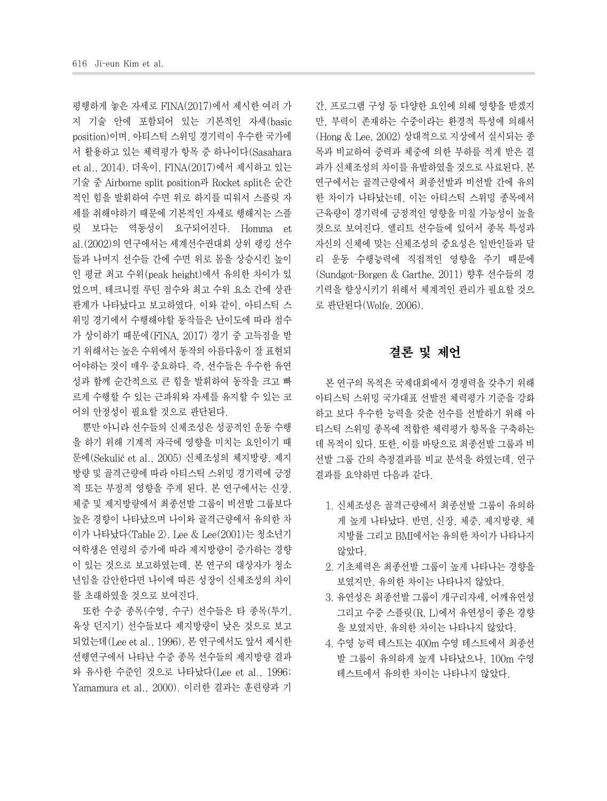평행하게 놓은 자세로 FINA(2017)에서 제시한 여러 가 지 기술 안에 포함되어 있는 기본적인 자세(basic position)이며, 아티스틱 스위밍 경기력이 우수한 국가에 서 활용하고 있는 체력평가 항목 중 하나이다(Sasahara et al., 2014). 더욱이, FINA(2017)에서 제시하고 있는 기술 중 Airborne split position과 Rocket split은 순간 적인 힘을 발휘하여 수면 위로 하지를 띠워서 스플릿 자 세를 취해야하기 때문에 기본적인 자세로 행해지는 스플 릿 보다는 역동성이 요구되어진다. Homma et al.(2002)의 연구에서는 세계선수권대회 상위 랭킹 선수 들과 나머지 선수들 간에 수면 위로 몸을 상승시킨 높이 인 평균 최고 수위(peak height)에서 유의한 차이가 있 었으며, 테크니컬 루틴 점수와 최고 수위 요소 간에 상관 관계가 나타났다고 보고하였다. 이와 같이, 아티스틱 스 위밍 경기에서 수행해야할 동작들은 난이도에 따라 점수 가 상이하기 때문에(FINA, 2017) 경기 중 고득점을 받 기 위해서는 높은 수위에서 동작의 아름다움이 잘 표현되 어야하는 것이 매우 중요하다. 즉, 선수들은 우수한 유연 성과 함께 순간적으로 큰 힘을 발휘하여 동작을 크고 빠 르게 수행할 수 있는 근파워와 자세를 유지할 수 있는 코 어의 안정성이 필요할 것으로 판단된다.

뿐만 아니라 선수들의 신체조성은 성공적인 운동 수행 을 하기 위해 기계적 자극에 영향을 미치는 요인이기 때 문에(Sekulić et al., 2005) 신체조성의 체지방량, 제지 방량 및 골격근량에 따라 아티스틱 스위밍 경기력에 긍정 적 또는 부정적 영향을 주게 된다. 본 연구에서는 신장, 체중 및 제지방량에서 최종선발 그룹이 비선발 그룹보다 높은 경향이 나타났으며 나이와 골격근량에서 유의한 차 이가 나타났다<Table 2>. Lee & Lee(2001)는 청소년기 여학생은 연령의 증가에 따라 제지방량이 증가하는 경향 이 있는 것으로 보고하였는데, 본 연구의 대상자가 청소 년임을 감안한다면 나이에 따른 성장이 신체조성의 차이 를 초래하였을 것으로 보여진다.

또한 수중 종목(수영, 수구) 선수들은 타 종목(투기, 육상 던지기) 선수들보다 제지방량이 낮은 것으로 보고 되었는데(Lee et al., 1996), 본 연구에서도 앞서 제시한 선행연구에서 나타난 수중 종목 선수들의 제지방량 결과 와 유사한 수준인 것으로 나타났다(Lee et al., 1996; Yamamura et al., 2000). 이러한 결과는 훈련량과 기

간, 프로그램 구성 등 다양한 요인에 의해 영향을 받겠지 만, 부력이 존재하는 수중이라는 환경적 특성에 의해서 (Hong & Lee, 2002) 상대적으로 지상에서 실시되는 종 목과 비교하여 중력과 체중에 의한 부하를 적게 받은 결 과가 신체조성의 차이를 유발하였을 것으로 사료된다. 본 연구에서는 골격근량에서 최종선발과 비선발 간에 유의 한 차이가 나타났는데, 이는 아티스틱 스위밍 종목에서 근육량이 경기력에 긍정적인 영향을 미칠 가능성이 높을 것으로 보여진다. 엘리트 선수들에 있어서 종목 특성과 자신의 신체에 맞는 신체조성의 중요성은 일반인들과 달 리 운동 수행능력에 직접적인 영향을 주기 때문에 (Sundgot-Borgen & Garthe, 2011) 향후 선수들의 경 기력을 향상시키기 위해서 체계적인 관리가 필요할 것으 로 판단된다(Wolfe, 2006).

## 결론 및 제언

본 연구의 목적은 국제대회에서 경쟁력을 갖추기 위해 아티스틱 스위밍 국가대표 선발전 체력평가 기준을 강화 하고 보다 우수한 능력을 갖춘 선수를 선발하기 위해 아 티스틱 스위밍 종목에 적합한 체력평가 항목을 구축하는 데 목적이 있다. 또한, 이를 바탕으로 최종선발 그룹과 비 선발 그룹 간의 측정결과를 비교 분석을 하였는데, 연구 결과를 요약하면 다음과 같다.

- 1. 신체조성은 골격근량에서 최종선발 그룹이 유의하 게 높게 나타났다. 반면, 신장, 체중, 제지방량, 체 지방률 그리고 BMI에서는 유의한 차이가 나타나지 않았다.
- 2. 기초체력은 최종선발 그룹이 높게 나타나는 경향을 보였지만, 유의한 차이는 나타나지 않았다.
- 3. 유연성은 최종선발 그룹이 개구리자세, 어깨유연성 그리고 수중 스플릿(R, L)에서 유연성이 좋은 경향 을 보였지만, 유의한 차이는 나타나지 않았다.
- 4. 수영 능력 테스트는 400m 수영 테스트에서 최종선 발 그룹이 유의하게 높게 나타났으나, 100m 수영 테스트에서 유의한 차이는 나타나지 않았다.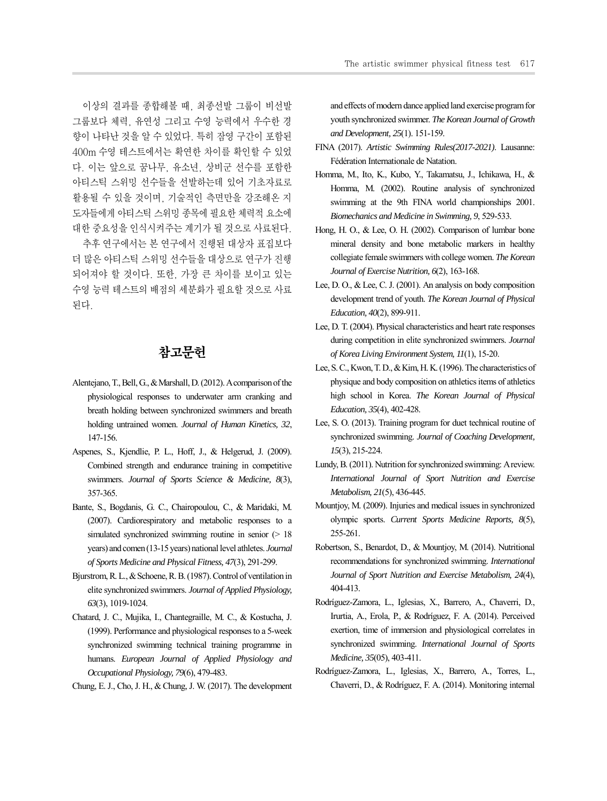이상의 결과를 종합해볼 때, 최종선발 그룹이 비선발 그룹보다 체력, 유연성 그리고 수영 능력에서 우수한 경 향이 나타난 것을 알 수 있었다. 특히 잠영 구간이 포함된 400m 수영 테스트에서는 확연한 차이를 확인할 수 있었 다. 이는 앞으로 꿈나무, 유소년, 상비군 선수를 포함한 아티스틱 스위밍 선수들을 선발하는데 있어 기초자료로 활용될 수 있을 것이며, 기술적인 측면만을 강조해온 지 도자들에게 아티스틱 스위밍 종목에 필요한 체력적 요소에 대한 중요성을 인식시켜주는 계기가 될 것으로 사료된다.

추후 연구에서는 본 연구에서 진행된 대상자 표집보다 더 많은 아티스틱 스위밍 선수들을 대상으로 연구가 진행 되어져야 할 것이다. 또한, 가장 큰 차이를 보이고 있는 수영 능력 테스트의 배점의 세분화가 필요할 것으로 사료 된다.

## 참고문헌

- Alentejano, T., Bell, G., & Marshall, D. (2012). A comparison of the physiological responses to underwater arm cranking and breath holding between synchronized swimmers and breath holding untrained women. *Journal of Human Kinetics, 32*, 147-156.
- Aspenes, S., Kjendlie, P. L., Hoff, J., & Helgerud, J. (2009). Combined strength and endurance training in competitive swimmers. *Journal of Sports Science & Medicine, 8*(3), 357-365.
- Bante, S., Bogdanis, G. C., Chairopoulou, C., & Maridaki, M. (2007). Cardiorespiratory and metabolic responses to a simulated synchronized swimming routine in senior ( $> 18$ ) years) and comen (13-15 years) national level athletes. *Journal of Sports Medicine and Physical Fitness, 47*(3), 291-299.
- Bjurstrom, R. L., & Schoene, R. B. (1987). Control of ventilation in elite synchronized swimmers. *Journal of Applied Physiology, 63*(3), 1019-1024.
- Chatard, J. C., Mujika, I., Chantegraille, M. C., & Kostucha, J. (1999). Performance and physiological responses to a 5-week synchronized swimming technical training programme in humans. *European Journal of Applied Physiology and Occupational Physiology, 79*(6), 479-483.
- Chung, E. J., Cho, J. H., & Chung, J. W. (2017). The development

and effects of modern dance applied land exercise program for youth synchronized swimmer. *The Korean Journal of Growth and Development, 25*(1). 151-159.

- FINA (2017). *Artistic Swimming Rules(2017-2021)*. Lausanne: Fédération Internationale de Natation.
- Homma, M., Ito, K., Kubo, Y., Takamatsu, J., Ichikawa, H., & Homma, M. (2002). Routine analysis of synchronized swimming at the 9th FINA world championships 2001. *Biomechanics and Medicine in Swimming, 9*, 529-533.
- Hong, H. O., & Lee, O. H. (2002). Comparison of lumbar bone mineral density and bone metabolic markers in healthy collegiate female swimmers with college women. *The Korean Journal of Exercise Nutrition, 6*(2), 163-168.
- Lee, D. O., & Lee, C. J. (2001). An analysis on body composition development trend of youth. *The Korean Journal of Physical Education, 40*(2), 899-911.
- Lee, D. T. (2004). Physical characteristics and heart rate responses during competition in elite synchronized swimmers. *Journal of Korea Living Environment System, 11*(1), 15-20.
- Lee, S. C., Kwon, T. D., & Kim, H. K. (1996). The characteristics of physique and body composition on athletics items of athletics high school in Korea. *The Korean Journal of Physical Education, 35*(4), 402-428.
- Lee, S. O. (2013). Training program for duet technical routine of synchronized swimming. *Journal of Coaching Development, 15*(3), 215-224.
- Lundy, B. (2011). Nutrition for synchronized swimming: A review. *International Journal of Sport Nutrition and Exercise Metabolism, 21*(5), 436-445.
- Mountjoy, M. (2009). Injuries and medical issues in synchronized olympic sports. *Current Sports Medicine Reports, 8*(5), 255-261.
- Robertson, S., Benardot, D., & Mountjoy, M. (2014). Nutritional recommendations for synchronized swimming. *International Journal of Sport Nutrition and Exercise Metabolism, 24*(4), 404-413.
- Rodríguez-Zamora, L., Iglesias, X., Barrero, A., Chaverri, D., Irurtia, A., Erola, P., & Rodríguez, F. A. (2014). Perceived exertion, time of immersion and physiological correlates in synchronized swimming. *International Journal of Sports Medicine, 35*(05), 403-411.
- Rodríguez-Zamora, L., Iglesias, X., Barrero, A., Torres, L., Chaverri, D., & Rodríguez, F. A. (2014). Monitoring internal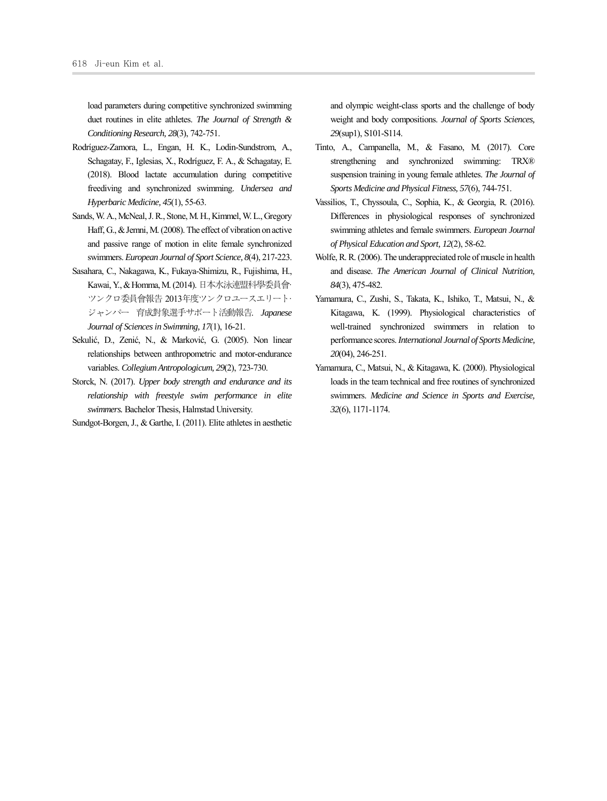load parameters during competitive synchronized swimming duet routines in elite athletes. *The Journal of Strength & Conditioning Research, 28*(3), 742-751.

- Rodríguez-Zamora, L., Engan, H. K., Lodin-Sundstrom, A., Schagatay, F., Iglesias, X., Rodríguez, F. A., & Schagatay, E. (2018). Blood lactate accumulation during competitive freediving and synchronized swimming. *Undersea and Hyperbaric Medicine, 45*(1), 55-63.
- Sands, W. A., McNeal, J. R., Stone, M. H., Kimmel, W. L., Gregory Haff, G., & Jemni, M. (2008). The effect of vibration on active and passive range of motion in elite female synchronized swimmers. *European Journal of Sport Science, 8*(4), 217-223.
- Sasahara, C., Nakagawa, K., Fukaya-Shimizu, R., Fujishima, H., Kawai, Y., & Homma, M. (2014). 日本水泳連盟科学委員会· ツンクロ委員会報告 2013年度ツンクロユースエリート· ジャンパー 育成対象選手サポート活動報告. *Japanese Journal of Sciences in Swimming, 17*(1), 16-21.
- Sekulić, D., Zenić, N., & Marković, G. (2005). Non linear relationships between anthropometric and motor-endurance variables. *Collegium Antropologicum, 29*(2), 723-730.
- Storck, N. (2017). *Upper body strength and endurance and its relationship with freestyle swim performance in elite swimmers.* Bachelor Thesis, Halmstad University.
- Sundgot-Borgen, J., & Garthe, I. (2011). Elite athletes in aesthetic

and olympic weight-class sports and the challenge of body weight and body compositions. *Journal of Sports Sciences, 29*(sup1), S101-S114.

- Tinto, A., Campanella, M., & Fasano, M. (2017). Core strengthening and synchronized swimming: TRX® suspension training in young female athletes. *The Journal of Sports Medicine and Physical Fitness, 57*(6), 744-751.
- Vassilios, T., Chyssoula, C., Sophia, K., & Georgia, R. (2016). Differences in physiological responses of synchronized swimming athletes and female swimmers. *European Journal of Physical Education and Sport, 12*(2), 58-62.
- Wolfe, R. R. (2006). The underappreciated role of muscle in health and disease. *The American Journal of Clinical Nutrition, 84*(3), 475-482.
- Yamamura, C., Zushi, S., Takata, K., Ishiko, T., Matsui, N., & Kitagawa, K. (1999). Physiological characteristics of well-trained synchronized swimmers in relation to performance scores. *International Journal of Sports Medicine, 20*(04), 246-251.
- Yamamura, C., Matsui, N., & Kitagawa, K. (2000). Physiological loads in the team technical and free routines of synchronized swimmers. *Medicine and Science in Sports and Exercise, 32*(6), 1171-1174.